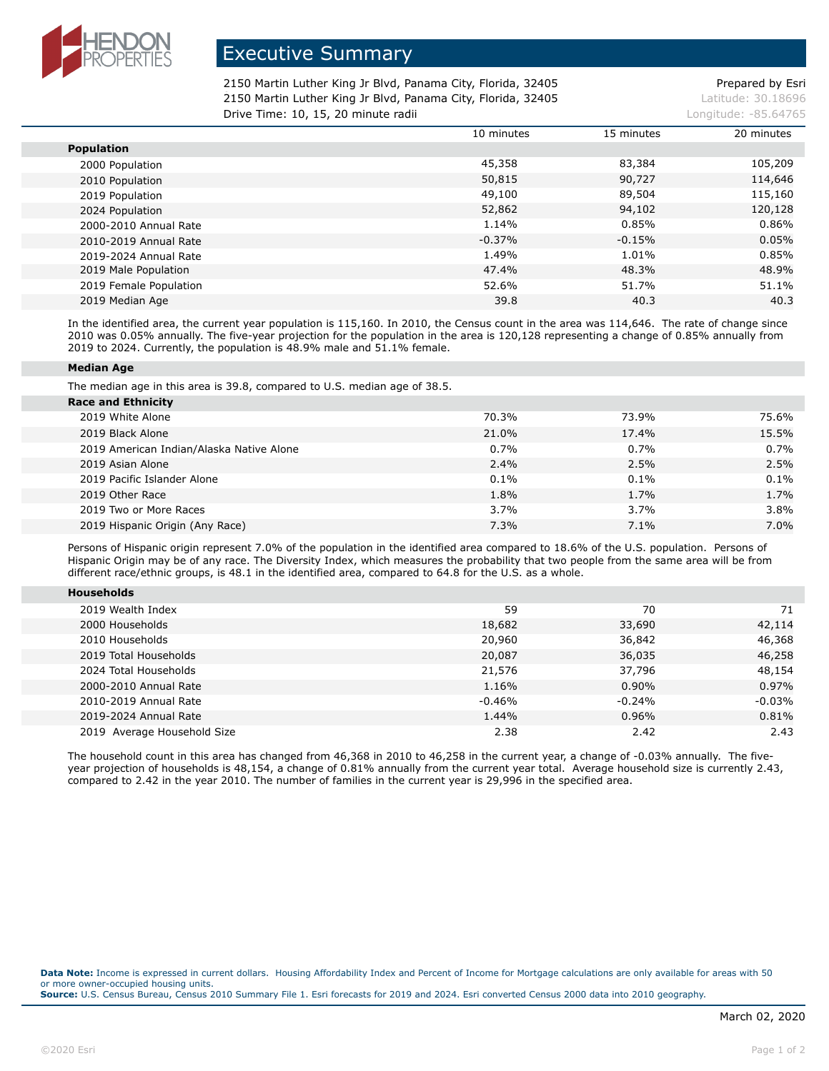

## Executive Summary

2150 Martin Luther King Jr Blvd, Panama City, Florida, 32405 2150 Martin Luther King Jr Blvd, Panama City, Florida, 32405 **Latitude: 30.18696** Latitude: 30.18696 **Drive Time: 10, 15, 20 minute radii Longitude: -85.64765** Longitude: -85.64765

Prepared by Esri

|                        | 10 minutes | 15 minutes | 20 minutes |
|------------------------|------------|------------|------------|
| <b>Population</b>      |            |            |            |
| 2000 Population        | 45,358     | 83,384     | 105,209    |
| 2010 Population        | 50,815     | 90,727     | 114,646    |
| 2019 Population        | 49,100     | 89,504     | 115,160    |
| 2024 Population        | 52,862     | 94,102     | 120,128    |
| 2000-2010 Annual Rate  | 1.14%      | 0.85%      | 0.86%      |
| 2010-2019 Annual Rate  | $-0.37%$   | $-0.15\%$  | 0.05%      |
| 2019-2024 Annual Rate  | 1.49%      | 1.01%      | 0.85%      |
| 2019 Male Population   | 47.4%      | 48.3%      | 48.9%      |
| 2019 Female Population | 52.6%      | 51.7%      | 51.1%      |
| 2019 Median Age        | 39.8       | 40.3       | 40.3       |

In the identified area, the current year population is 115,160. In 2010, the Census count in the area was 114,646. The rate of change since 2010 was 0.05% annually. The five-year projection for the population in the area is 120,128 representing a change of 0.85% annually from 2019 to 2024. Currently, the population is 48.9% male and 51.1% female.

## **Median Age**

The median age in this area is 39.8, compared to U.S. median age of 38.5.

| <b>Race and Ethnicity</b>                |       |         |       |
|------------------------------------------|-------|---------|-------|
| 2019 White Alone                         | 70.3% | 73.9%   | 75.6% |
| 2019 Black Alone                         | 21.0% | 17.4%   | 15.5% |
| 2019 American Indian/Alaska Native Alone | 0.7%  | $0.7\%$ | 0.7%  |
| 2019 Asian Alone                         | 2.4%  | 2.5%    | 2.5%  |
| 2019 Pacific Islander Alone              | 0.1%  | 0.1%    | 0.1%  |
| 2019 Other Race                          | 1.8%  | 1.7%    | 1.7%  |
| 2019 Two or More Races                   | 3.7%  | 3.7%    | 3.8%  |
| 2019 Hispanic Origin (Any Race)          | 7.3%  | 7.1%    | 7.0%  |

Persons of Hispanic origin represent 7.0% of the population in the identified area compared to 18.6% of the U.S. population. Persons of Hispanic Origin may be of any race. The Diversity Index, which measures the probability that two people from the same area will be from different race/ethnic groups, is 48.1 in the identified area, compared to 64.8 for the U.S. as a whole.

| <b>Households</b>           |          |          |          |
|-----------------------------|----------|----------|----------|
| 2019 Wealth Index           | 59       | 70       | 71       |
| 2000 Households             | 18,682   | 33,690   | 42,114   |
| 2010 Households             | 20,960   | 36,842   | 46,368   |
| 2019 Total Households       | 20,087   | 36,035   | 46,258   |
| 2024 Total Households       | 21,576   | 37,796   | 48,154   |
| 2000-2010 Annual Rate       | 1.16%    | $0.90\%$ | 0.97%    |
| 2010-2019 Annual Rate       | $-0.46%$ | $-0.24%$ | $-0.03%$ |
| 2019-2024 Annual Rate       | 1.44%    | 0.96%    | 0.81%    |
| 2019 Average Household Size | 2.38     | 2.42     | 2.43     |

The household count in this area has changed from 46,368 in 2010 to 46,258 in the current year, a change of -0.03% annually. The fiveyear projection of households is 48,154, a change of 0.81% annually from the current year total. Average household size is currently 2.43, compared to 2.42 in the year 2010. The number of families in the current year is 29,996 in the specified area.

**Data Note:** Income is expressed in current dollars. Housing Affordability Index and Percent of Income for Mortgage calculations are only available for areas with 50 or more owner-occupied housing units. **Source:** U.S. Census Bureau, Census 2010 Summary File 1. Esri forecasts for 2019 and 2024. Esri converted Census 2000 data into 2010 geography.